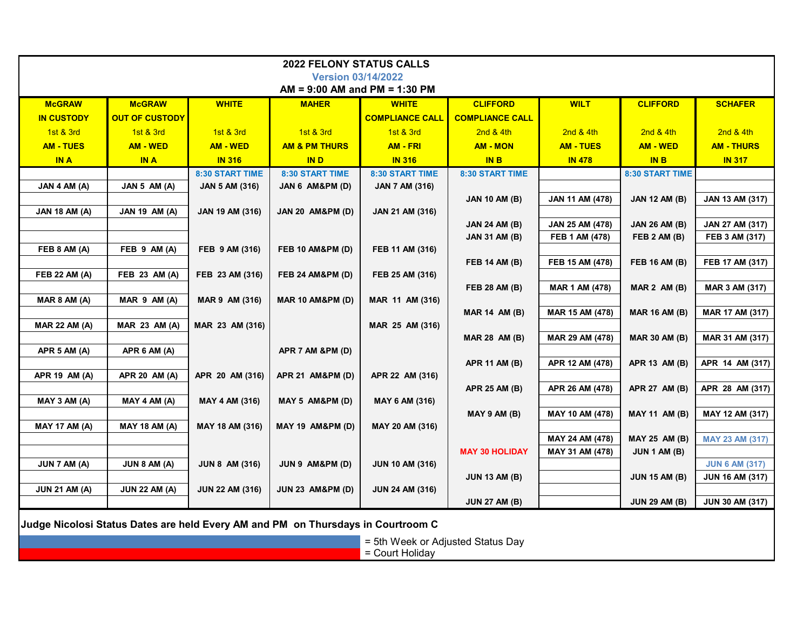| <b>2022 FELONY STATUS CALLS</b>                                                  |                       |                        |                             |                        |                        |                        |                      |                        |  |  |  |  |  |
|----------------------------------------------------------------------------------|-----------------------|------------------------|-----------------------------|------------------------|------------------------|------------------------|----------------------|------------------------|--|--|--|--|--|
| <b>Version 03/14/2022</b>                                                        |                       |                        |                             |                        |                        |                        |                      |                        |  |  |  |  |  |
| $AM = 9:00 AM$ and PM = 1:30 PM                                                  |                       |                        |                             |                        |                        |                        |                      |                        |  |  |  |  |  |
| <b>McGRAW</b>                                                                    | <b>McGRAW</b>         | <b>WHITE</b>           | <b>MAHER</b>                | <b>WHITE</b>           | <b>CLIFFORD</b>        | <b>WILT</b>            | <b>CLIFFORD</b>      | <b>SCHAFER</b>         |  |  |  |  |  |
| <b>IN CUSTODY</b>                                                                | <b>OUT OF CUSTODY</b> |                        |                             | <b>COMPLIANCE CALL</b> | <b>COMPLIANCE CALL</b> |                        |                      |                        |  |  |  |  |  |
| 1st & 3rd                                                                        | 1st & 3rd             | 1st & 3rd              | 1st & 3rd                   | 1st & 3rd              | 2nd & 4th              | 2nd & 4th              | 2nd & 4th            | 2nd & 4th              |  |  |  |  |  |
| <b>AM - TUES</b>                                                                 | <b>AM - WED</b>       | <b>AM - WED</b>        | <b>AM &amp; PM THURS</b>    | <b>AM - FRI</b>        | <b>AM - MON</b>        | <b>AM - TUES</b>       | <b>AM - WED</b>      | <b>AM - THURS</b>      |  |  |  |  |  |
| <b>IN A</b>                                                                      | <b>IN A</b>           | <b>IN 316</b>          | <b>IND</b>                  | <b>IN 316</b>          | <b>IN B</b>            | <b>IN 478</b>          | <b>IN B</b>          | <b>IN 317</b>          |  |  |  |  |  |
|                                                                                  |                       | 8:30 START TIME        | 8:30 START TIME             | 8:30 START TIME        | 8:30 START TIME        |                        | 8:30 START TIME      |                        |  |  |  |  |  |
| JAN 4 AM (A)                                                                     | JAN 5 AM (A)          | <b>JAN 5 AM (316)</b>  | JAN 6 AM&PM (D)             | <b>JAN 7 AM (316)</b>  |                        |                        |                      |                        |  |  |  |  |  |
|                                                                                  |                       |                        |                             |                        | <b>JAN 10 AM (B)</b>   | <b>JAN 11 AM (478)</b> | <b>JAN 12 AM (B)</b> | <b>JAN 13 AM (317)</b> |  |  |  |  |  |
| <b>JAN 18 AM (A)</b>                                                             | <b>JAN 19 AM (A)</b>  | <b>JAN 19 AM (316)</b> | <b>JAN 20 AM&amp;PM (D)</b> | JAN 21 AM (316)        |                        |                        |                      |                        |  |  |  |  |  |
|                                                                                  |                       |                        |                             |                        | <b>JAN 24 AM (B)</b>   | <b>JAN 25 AM (478)</b> | <b>JAN 26 AM (B)</b> | <b>JAN 27 AM (317)</b> |  |  |  |  |  |
| FEB 8 AM (A)                                                                     | FEB 9 AM (A)          | FEB 9 AM (316)         | <b>FEB 10 AM&amp;PM (D)</b> | FEB 11 AM (316)        | <b>JAN 31 AM (B)</b>   | FEB 1 AM (478)         | FEB 2 AM (B)         | FEB 3 AM (317)         |  |  |  |  |  |
|                                                                                  |                       |                        |                             |                        | <b>FEB 14 AM (B)</b>   | FEB 15 AM (478)        | <b>FEB 16 AM (B)</b> | FEB 17 AM (317)        |  |  |  |  |  |
| <b>FEB 22 AM (A)</b>                                                             | FEB 23 AM (A)         | FEB 23 AM (316)        | <b>FEB 24 AM&amp;PM (D)</b> | FEB 25 AM (316)        |                        |                        |                      |                        |  |  |  |  |  |
|                                                                                  |                       |                        |                             |                        | <b>FEB 28 AM (B)</b>   | <b>MAR 1 AM (478)</b>  | MAR $2$ AM $(B)$     | MAR 3 AM (317)         |  |  |  |  |  |
| MAR 8 AM (A)                                                                     | MAR 9 AM (A)          | MAR 9 AM (316)         | <b>MAR 10 AM&amp;PM (D)</b> | MAR 11 AM (316)        |                        |                        |                      |                        |  |  |  |  |  |
|                                                                                  |                       |                        |                             |                        | <b>MAR 14 AM (B)</b>   | MAR 15 AM (478)        | <b>MAR 16 AM (B)</b> | MAR 17 AM (317)        |  |  |  |  |  |
| <b>MAR 22 AM (A)</b>                                                             | <b>MAR 23 AM (A)</b>  | MAR 23 AM (316)        |                             | MAR 25 AM (316)        |                        |                        |                      |                        |  |  |  |  |  |
|                                                                                  |                       |                        |                             |                        | <b>MAR 28 AM (B)</b>   | MAR 29 AM (478)        | <b>MAR 30 AM (B)</b> | MAR 31 AM (317)        |  |  |  |  |  |
| APR 5 AM (A)                                                                     | APR 6 AM (A)          |                        | APR 7 AM &PM (D)            |                        |                        |                        |                      |                        |  |  |  |  |  |
|                                                                                  |                       |                        |                             |                        | <b>APR 11 AM (B)</b>   | APR 12 AM (478)        | APR 13 AM (B)        | APR 14 AM (317)        |  |  |  |  |  |
| APR 19 AM (A)                                                                    | APR 20 AM (A)         | APR 20 AM (316)        | <b>APR 21 AM&amp;PM (D)</b> | APR 22 AM (316)        | <b>APR 25 AM (B)</b>   | APR 26 AM (478)        | APR 27 AM (B)        | APR 28 AM (317)        |  |  |  |  |  |
| MAY 3 AM (A)                                                                     | MAY 4 AM (A)          | MAY 4 AM (316)         | MAY 5 AM&PM (D)             | <b>MAY 6 AM (316)</b>  |                        |                        |                      |                        |  |  |  |  |  |
|                                                                                  |                       |                        |                             |                        | MAY 9 AM (B)           | MAY 10 AM (478)        | <b>MAY 11 AM (B)</b> | MAY 12 AM (317)        |  |  |  |  |  |
| <b>MAY 17 AM (A)</b>                                                             | <b>MAY 18 AM (A)</b>  | MAY 18 AM (316)        | <b>MAY 19 AM&amp;PM (D)</b> | MAY 20 AM (316)        |                        |                        |                      |                        |  |  |  |  |  |
|                                                                                  |                       |                        |                             |                        |                        | MAY 24 AM (478)        | <b>MAY 25 AM (B)</b> | <b>MAY 23 AM (317)</b> |  |  |  |  |  |
|                                                                                  |                       |                        |                             |                        | <b>MAY 30 HOLIDAY</b>  | MAY 31 AM (478)        | <b>JUN 1 AM (B)</b>  |                        |  |  |  |  |  |
| JUN 7 AM (A)                                                                     | JUN 8 AM (A)          | <b>JUN 8 AM (316)</b>  | JUN 9 AM&PM (D)             | <b>JUN 10 AM (316)</b> |                        |                        |                      | <b>JUN 6 AM (317)</b>  |  |  |  |  |  |
|                                                                                  |                       |                        |                             |                        | <b>JUN 13 AM (B)</b>   |                        | <b>JUN 15 AM (B)</b> | JUN 16 AM (317)        |  |  |  |  |  |
| <b>JUN 21 AM (A)</b>                                                             | <b>JUN 22 AM (A)</b>  | <b>JUN 22 AM (316)</b> | <b>JUN 23 AM&amp;PM (D)</b> | <b>JUN 24 AM (316)</b> |                        |                        |                      |                        |  |  |  |  |  |
|                                                                                  |                       |                        |                             |                        | <b>JUN 27 AM (B)</b>   |                        | <b>JUN 29 AM (B)</b> | <b>JUN 30 AM (317)</b> |  |  |  |  |  |
| Judge Nicolosi Status Dates are held Every AM and PM on Thursdays in Courtroom C |                       |                        |                             |                        |                        |                        |                      |                        |  |  |  |  |  |
| = 5th Week or Adjusted Status Day                                                |                       |                        |                             |                        |                        |                        |                      |                        |  |  |  |  |  |
| = Court Holiday                                                                  |                       |                        |                             |                        |                        |                        |                      |                        |  |  |  |  |  |
|                                                                                  |                       |                        |                             |                        |                        |                        |                      |                        |  |  |  |  |  |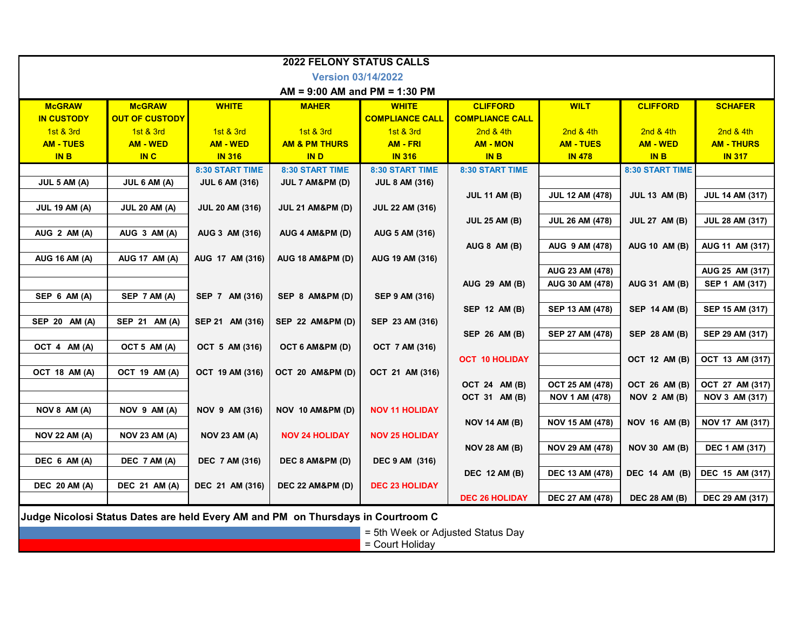| <b>2022 FELONY STATUS CALLS</b>                                                  |                       |                        |                             |                        |                        |                        |                      |                        |  |  |  |  |
|----------------------------------------------------------------------------------|-----------------------|------------------------|-----------------------------|------------------------|------------------------|------------------------|----------------------|------------------------|--|--|--|--|
| <b>Version 03/14/2022</b>                                                        |                       |                        |                             |                        |                        |                        |                      |                        |  |  |  |  |
| $AM = 9:00 AM$ and PM = 1:30 PM                                                  |                       |                        |                             |                        |                        |                        |                      |                        |  |  |  |  |
| <b>McGRAW</b>                                                                    | <b>McGRAW</b>         | <b>WHITE</b>           | <b>MAHER</b>                | <b>WHITE</b>           | <b>CLIFFORD</b>        | <b>WILT</b>            | <b>CLIFFORD</b>      | <b>SCHAFER</b>         |  |  |  |  |
| <b>IN CUSTODY</b>                                                                | <b>OUT OF CUSTODY</b> |                        |                             | <b>COMPLIANCE CALL</b> | <b>COMPLIANCE CALL</b> |                        |                      |                        |  |  |  |  |
| 1st & 3rd                                                                        | 1st & 3rd             | 1st & 3rd              | 1st & 3rd                   | 1st & 3rd              | 2nd & 4th              | 2nd & 4th              | 2nd & 4th            | 2nd & 4th              |  |  |  |  |
| <b>AM - TUES</b>                                                                 | <b>AM - WED</b>       | <b>AM - WED</b>        | <b>AM &amp; PM THURS</b>    | <b>AM - FRI</b>        | <b>AM - MON</b>        | <b>AM - TUES</b>       | <b>AM - WED</b>      | <b>AM - THURS</b>      |  |  |  |  |
| <b>INB</b>                                                                       | <b>IN C</b>           | <b>IN 316</b>          | <b>IND</b>                  | <b>IN 316</b>          | <b>IN B</b>            | <b>IN 478</b>          | <b>IN B</b>          | <b>IN 317</b>          |  |  |  |  |
|                                                                                  |                       | <b>8:30 START TIME</b> | 8:30 START TIME             | 8:30 START TIME        | 8:30 START TIME        |                        | 8:30 START TIME      |                        |  |  |  |  |
| JUL 5 AM (A)                                                                     | JUL 6 AM (A)          | <b>JUL 6 AM (316)</b>  | JUL 7 AM&PM (D)             | <b>JUL 8 AM (316)</b>  |                        |                        |                      |                        |  |  |  |  |
|                                                                                  |                       |                        |                             |                        | <b>JUL 11 AM (B)</b>   | <b>JUL 12 AM (478)</b> | <b>JUL 13 AM (B)</b> | <b>JUL 14 AM (317)</b> |  |  |  |  |
| <b>JUL 19 AM (A)</b>                                                             | <b>JUL 20 AM (A)</b>  | <b>JUL 20 AM (316)</b> | <b>JUL 21 AM&amp;PM (D)</b> | <b>JUL 22 AM (316)</b> |                        |                        |                      |                        |  |  |  |  |
|                                                                                  |                       |                        |                             |                        | <b>JUL 25 AM (B)</b>   | <b>JUL 26 AM (478)</b> | <b>JUL 27 AM (B)</b> | <b>JUL 28 AM (317)</b> |  |  |  |  |
| AUG 2 AM (A)                                                                     | AUG 3 AM (A)          | AUG 3 AM (316)         | AUG 4 AM&PM (D)             | AUG 5 AM (316)         |                        |                        |                      |                        |  |  |  |  |
|                                                                                  |                       |                        |                             |                        | AUG 8 AM (B)           | AUG 9 AM (478)         | <b>AUG 10 AM (B)</b> | AUG 11 AM (317)        |  |  |  |  |
| <b>AUG 16 AM (A)</b>                                                             | <b>AUG 17 AM (A)</b>  | AUG 17 AM (316)        | <b>AUG 18 AM&amp;PM (D)</b> | AUG 19 AM (316)        |                        |                        |                      |                        |  |  |  |  |
|                                                                                  |                       |                        |                             |                        |                        | AUG 23 AM (478)        |                      | AUG 25 AM (317)        |  |  |  |  |
|                                                                                  |                       |                        |                             |                        | <b>AUG 29 AM (B)</b>   | AUG 30 AM (478)        | <b>AUG 31 AM (B)</b> | SEP 1 AM (317)         |  |  |  |  |
| SEP 6 AM (A)                                                                     | SEP 7 AM (A)          | SEP 7 AM (316)         | SEP 8 AM&PM (D)             | <b>SEP 9 AM (316)</b>  |                        |                        |                      |                        |  |  |  |  |
|                                                                                  |                       |                        |                             |                        | SEP 12 AM (B)          | SEP 13 AM (478)        | <b>SEP 14 AM (B)</b> | SEP 15 AM (317)        |  |  |  |  |
| SEP 20 AM (A)                                                                    | SEP 21 AM (A)         | SEP 21 AM (316)        | <b>SEP 22 AM&amp;PM (D)</b> | SEP 23 AM (316)        |                        |                        |                      |                        |  |  |  |  |
|                                                                                  |                       |                        |                             |                        | <b>SEP 26 AM (B)</b>   | <b>SEP 27 AM (478)</b> | <b>SEP 28 AM (B)</b> | SEP 29 AM (317)        |  |  |  |  |
| OCT 4 AM (A)                                                                     | OCT 5 AM (A)          | OCT 5 AM (316)         | OCT 6 AM&PM (D)             | OCT 7 AM (316)         |                        |                        |                      |                        |  |  |  |  |
|                                                                                  |                       |                        |                             |                        | <b>OCT 10 HOLIDAY</b>  |                        | OCT 12 AM (B)        | OCT 13 AM (317)        |  |  |  |  |
| OCT 18 AM (A)                                                                    | OCT 19 AM (A)         | OCT 19 AM (316)        | OCT 20 AM&PM (D)            | OCT 21 AM (316)        |                        |                        |                      |                        |  |  |  |  |
|                                                                                  |                       |                        |                             |                        | OCT 24 AM (B)          | <b>OCT 25 AM (478)</b> | OCT 26 AM (B)        | OCT 27 AM (317)        |  |  |  |  |
|                                                                                  |                       |                        |                             | <b>NOV 11 HOLIDAY</b>  | OCT 31 AM (B)          | <b>NOV 1 AM (478)</b>  | NOV 2 AM (B)         | NOV 3 AM (317)         |  |  |  |  |
| NOV 8 AM (A)                                                                     | NOV 9 AM (A)          | <b>NOV 9 AM (316)</b>  | NOV 10 AM&PM (D)            |                        | <b>NOV 14 AM (B)</b>   | <b>NOV 15 AM (478)</b> | <b>NOV 16 AM (B)</b> | NOV 17 AM (317)        |  |  |  |  |
| <b>NOV 22 AM (A)</b>                                                             | <b>NOV 23 AM (A)</b>  | <b>NOV 23 AM (A)</b>   | <b>NOV 24 HOLIDAY</b>       | <b>NOV 25 HOLIDAY</b>  |                        |                        |                      |                        |  |  |  |  |
|                                                                                  |                       |                        |                             |                        | <b>NOV 28 AM (B)</b>   | <b>NOV 29 AM (478)</b> | <b>NOV 30 AM (B)</b> | <b>DEC 1 AM (317)</b>  |  |  |  |  |
| DEC 6 AM (A)                                                                     | DEC 7 AM (A)          | <b>DEC 7 AM (316)</b>  | DEC 8 AM&PM (D)             | <b>DEC 9 AM (316)</b>  |                        |                        |                      |                        |  |  |  |  |
|                                                                                  |                       |                        |                             |                        | <b>DEC 12 AM (B)</b>   | <b>DEC 13 AM (478)</b> | <b>DEC 14 AM (B)</b> | DEC 15 AM (317)        |  |  |  |  |
| <b>DEC 20 AM (A)</b>                                                             | <b>DEC 21 AM (A)</b>  | DEC 21 AM (316)        | DEC 22 AM&PM (D)            | <b>DEC 23 HOLIDAY</b>  |                        |                        |                      |                        |  |  |  |  |
|                                                                                  |                       |                        |                             |                        | <b>DEC 26 HOLIDAY</b>  | <b>DEC 27 AM (478)</b> | <b>DEC 28 AM (B)</b> | <b>DEC 29 AM (317)</b> |  |  |  |  |
|                                                                                  |                       |                        |                             |                        |                        |                        |                      |                        |  |  |  |  |
| Judge Nicolosi Status Dates are held Every AM and PM on Thursdays in Courtroom C |                       |                        |                             |                        |                        |                        |                      |                        |  |  |  |  |
| = 5th Week or Adjusted Status Day                                                |                       |                        |                             |                        |                        |                        |                      |                        |  |  |  |  |
| = Court Holiday                                                                  |                       |                        |                             |                        |                        |                        |                      |                        |  |  |  |  |